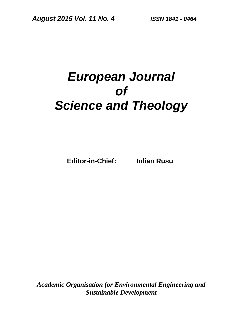# *European Journal of Science and Theology*

**Editor-in-Chief: Iulian Rusu**

*Academic Organisation for Environmental Engineering and Sustainable Development*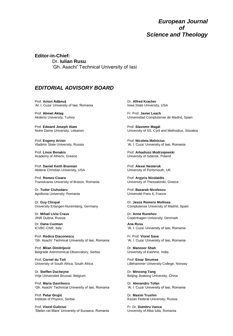#### *European Journal of Science and Theology*

**Editor-in-Chief:**  Dr. **Iulian Rusu** 'Gh. Asachi' Technical University of Iasi

#### *EDITORIAL ADVISORY BOARD*

Prof. **Anton Adămuţ** 'Al. I. Cuza' University of Iasi, Romania

Prof. **Ahmet Aktaş** Akdeniz University, Turkey

Prof. **Edward Joseph Alam** Notre Dame University, Lebanon

Prof. **Evgeny Arinin** Vladimir State University, Russia

Prof. **Linos Benakis** Academy of Athens, Greece

Prof. **Daniel Keith Brannan** Abilene Christian University, USA

Prof. **Romeo Cioara** Transilvania University of Brasov, Romania

Dr. **Tudor Ciuhodaru** Apollonia University, Romania

Dr. **Guy Clicqué** University Erlangen-Nuremberg, Germany

Dr. **Mihail Liviu Craus** JINR Dubna, Russia

Dr. **Oana Cuzman** ICVBC-CNR, Italy

Prof. **Rodica Diaconescu** 'Gh. Asachi' Technical University of Iasi, Romania

Prof. **Milan Dimitrijević** Belgrade Astronomical Observatory, Serbia

Prof. **Cornel du Toit** University of South Africa, South Africa

Dr. **Steffen Ducheyne** Vrije Universiteit Brussel, Belgium

Prof. **Maria Gavrilescu** 'Gh. Asachi' Technical University of Iasi, Romania

Prof. **Petar Grujić** Institute of Physics, Serbia

Prof. **Viorel Guliciuc** 'Stefan cel Mare' University of Suceava, Romania Dr. **Alfred Kracher** Iowa State University, USA

Fr. Prof. **Javier Leach** Universidad Complutense de Madrid, Spain

Prof. **Slavomir Magál** University of SS. Cyril and Methodius, Slovakia

Prof. **Nicoleta Melniciuc** 'Al. I. Cuza' University of Iasi, Romania

Prof. **Arkadiusz Modrzejewski** University of Gdansk, Poland

Prof. **Alexei Nesteruk** University of Portsmouth, UK

Prof. **Argyris Nicolaidis** University of Thessaloniki, Greece

Prof. **Basarab Nicolescu** Université Paris 6, France

Dr. **Jesús Romero Moñivas** Complutense University of Madrid, Spain

Dr. **Anne Runehov** Copenhagen University, Denmark

**Ana Rusu** 'Al. I. Cuza' University of Iasi, Romania

Fr. Prof. **Viorel Sava** 'Al. I. Cuza' University of Iasi, Romania

Dr. **Manzoor Shah** University of Kashmir, India

Prof. **Einar Strumse** Lillehammer University College, Norway

Dr. **Mincong Tang** Beijing Jioatong University, China

Dr. **Alexandru Tofan** 'Al. I. Cuza' University of Iasi, Romania

Dr. **Maxim Trushin** Kazan Federal University, Russia

Fr. Dr. **Dumitru Vanca** University of Alba Iulia, Romania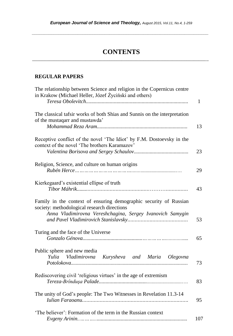*\_\_\_\_\_\_\_\_\_\_\_\_\_\_\_\_\_\_\_\_\_\_\_\_\_\_\_\_\_\_\_\_\_\_\_\_\_\_\_\_\_\_\_\_\_\_\_\_\_\_\_\_\_\_\_\_\_\_\_\_\_\_\_\_\_\_\_\_\_\_\_\_\_*

### **CONTENTS** \_\_\_\_\_\_\_\_\_\_\_\_\_\_\_\_\_\_\_\_\_\_\_\_\_\_\_\_\_\_\_\_\_\_\_\_\_\_\_\_\_\_\_\_\_\_\_\_\_\_\_\_\_\_\_\_\_\_\_\_\_\_\_\_\_\_\_\_\_\_\_\_\_

#### **REGULAR PAPERS**

| The relationship between Science and religion in the Copernicus centre<br>in Krakow (Michael Heller, Józef Życiński and others)                                               |              |
|-------------------------------------------------------------------------------------------------------------------------------------------------------------------------------|--------------|
|                                                                                                                                                                               | $\mathbf{1}$ |
| The classical tafsir works of both Shias and Sunnis on the interpretation<br>of the mustaqarr and mustawda'                                                                   | 13           |
| Receptive conflict of the novel 'The Idiot' by F.M. Dostoevsky in the<br>context of the novel 'The brothers Karamazov'                                                        | 23           |
| Religion, Science, and culture on human origins                                                                                                                               | 29           |
| Kierkegaard's existential ellipse of truth                                                                                                                                    | 43           |
| Family in the context of ensuring demographic security of Russian<br>society: methodological research directions<br>Anna Vladimirovna Vereshchagina, Sergey Ivanovich Samygin | 53           |
| Turing and the face of the Universe                                                                                                                                           | 65           |
| Public sphere and new media<br>Vladimirovna Kurysheva and Maria Olegovna<br>Yulia                                                                                             | 73           |
| Rediscovering civil 'religious virtues' in the age of extremism                                                                                                               | 83           |
| The unity of God's people: The Two Witnesses in Revelation 11.3-14                                                                                                            | 95           |
| 'The believer': Formation of the term in the Russian context                                                                                                                  | 107          |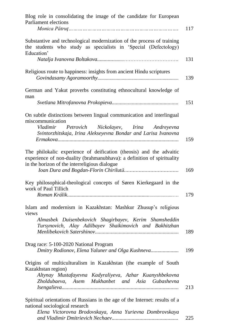| Blog role in consolidating the image of the candidate for European<br>Parliament elections                                                                                                      | 117 |
|-------------------------------------------------------------------------------------------------------------------------------------------------------------------------------------------------|-----|
| Substantive and technological modernization of the process of training<br>the students who study as specialists in 'Special (Defectology)<br>Education'                                         |     |
|                                                                                                                                                                                                 | 131 |
| Religious route to happiness: insights from ancient Hindu scriptures                                                                                                                            | 139 |
| German and Yakut proverbs constituting ethnocultural knowledge of<br>man                                                                                                                        |     |
|                                                                                                                                                                                                 | 151 |
| On subtle distinctions between lingual communication and interlingual<br>miscommunication                                                                                                       |     |
| Vladimir Petrovich Nickolayev, Irina Andreyevna<br>Svintorzhitskaja, Irina Alekseyevna Bondar and Larisa Ivanovna                                                                               | 159 |
| The philokalic experience of deification (theosis) and the advaitic<br>experience of non-duality (brahmanubhava): a definition of spirituality<br>in the horizon of the interreligious dialogue | 169 |
| Key philosophical-theological concepts of Søren Kierkegaard in the<br>work of Paul Tillich                                                                                                      | 179 |
| Islam and modernism in Kazakhstan: Mashkur Zhusup's religious<br>views                                                                                                                          |     |
| Almasbek Duisenbekovich Shagirbayev, Kerim Shamsheddin<br>Tursynovich, Alay Adilbayev Shaikimovich and Bakhitzhan                                                                               | 189 |
| Drag race: 5-100-2020 National Program<br>Dmitry Rodionov, Elena Yaluner and Olga Kushneva                                                                                                      | 199 |
| Origins of multiculturalism in Kazakhstan (the example of South<br>Kazakhstan region)                                                                                                           |     |
| Altynay Mustafayevna Kadyraliyeva, Azhar Kuanyshbekovna<br>Zholdubaeva, Asem Mukhanbet and Asia Gubashevna                                                                                      | 213 |
| Spiritual orientations of Russians in the age of the Internet: results of a<br>national sociological research                                                                                   |     |
| Elena Victorovna Brodovskaya, Anna Yurievna Dombrovskaya                                                                                                                                        | 225 |